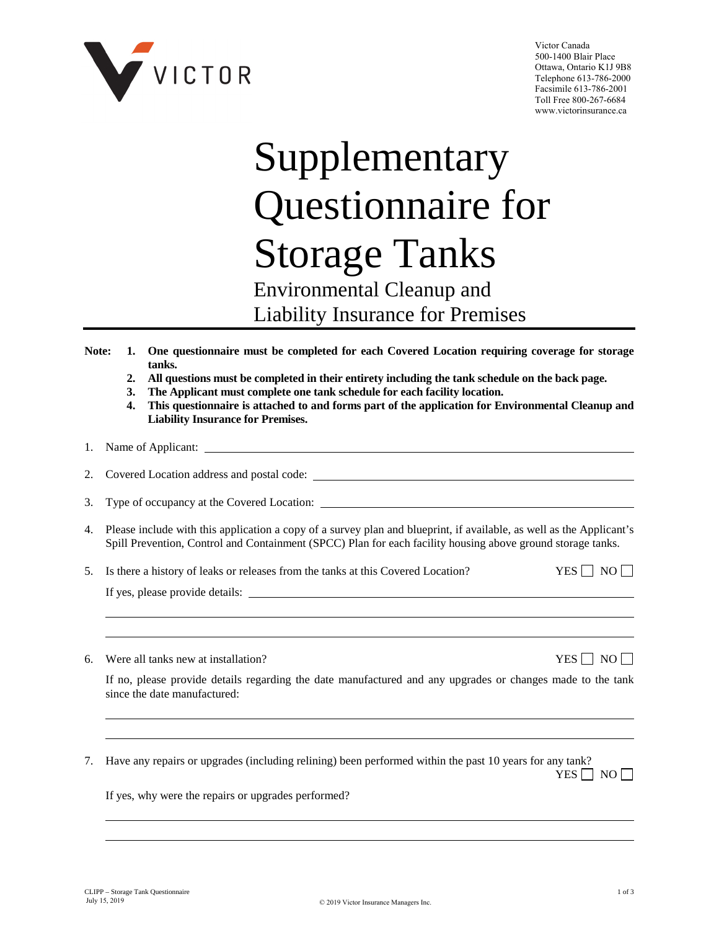

Victor Canada 500-1400 Blair Place Ottawa, Ontario K1J 9B8 Telephone 613-786-2000 Facsimile 613-786-2001 Toll Free 800-267-6684 www.victorinsurance.ca

# Supplementary Questionnaire for Storage Tanks

## Environmental Cleanup and Liability Insurance for Premises

- **Note: 1. One questionnaire must be completed for each Covered Location requiring coverage for storage tanks.**
	- **2. All questions must be completed in their entirety including the tank schedule on the back page.**
	- **3. The Applicant must complete one tank schedule for each facility location.**
	- **4. This questionnaire is attached to and forms part of the application for Environmental Cleanup and Liability Insurance for Premises.**

## 1. Name of Applicant:

2. Covered Location address and postal code:

3. Type of occupancy at the Covered Location:

- 4. Please include with this application a copy of a survey plan and blueprint, if available, as well as the Applicant's Spill Prevention, Control and Containment (SPCC) Plan for each facility housing above ground storage tanks.
- 5. Is there a history of leaks or releases from the tanks at this Covered Location? YES  $\Box$  NO  $\Box$

If yes, please provide details:

6. Were all tanks new at installation?  $YES \Box NO \Box$ 

If no, please provide details regarding the date manufactured and any upgrades or changes made to the tank since the date manufactured:

7. Have any repairs or upgrades (including relining) been performed within the past 10 years for any tank?  $YES \Box NO \Box$ 

If yes, why were the repairs or upgrades performed?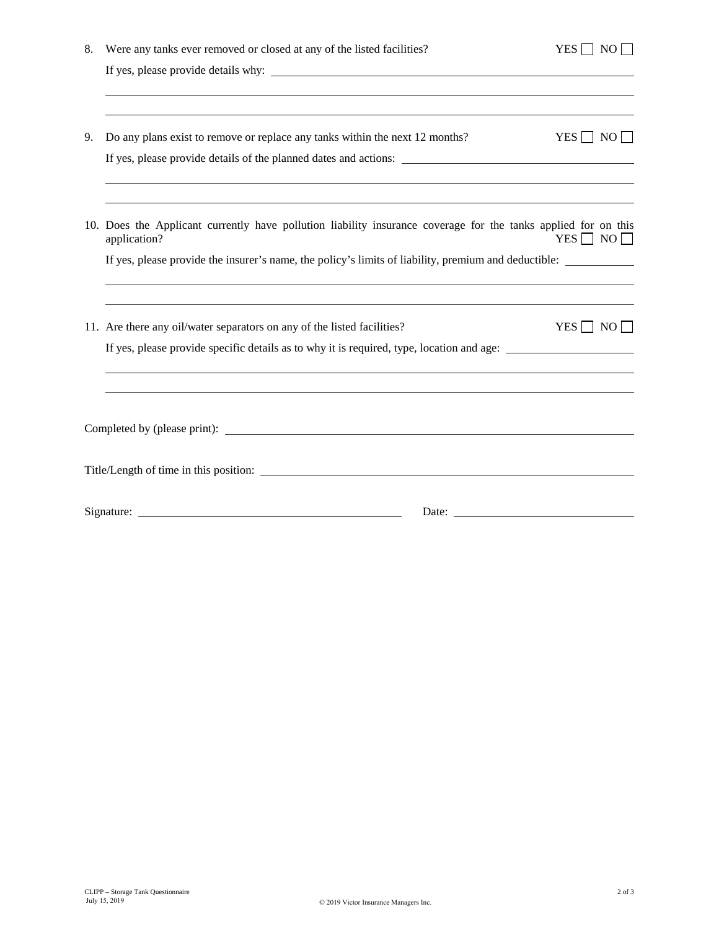| 8. | Were any tanks ever removed or closed at any of the listed facilities?                                               | $YES \Box NO \Box$   |  |  |
|----|----------------------------------------------------------------------------------------------------------------------|----------------------|--|--|
|    |                                                                                                                      |                      |  |  |
|    |                                                                                                                      |                      |  |  |
| 9. | Do any plans exist to remove or replace any tanks within the next 12 months?                                         | $YES \Box NO \Box$   |  |  |
|    | ,我们也不会有什么。""我们的人,我们也不会有什么?""我们的人,我们也不会有什么?""我们的人,我们也不会有什么?""我们的人,我们也不会有什么?""我们的人                                     |                      |  |  |
|    | 10. Does the Applicant currently have pollution liability insurance coverage for the tanks applied for on this       | $YES \Box NO \Box$   |  |  |
|    | application?<br>If yes, please provide the insurer's name, the policy's limits of liability, premium and deductible: |                      |  |  |
|    |                                                                                                                      |                      |  |  |
|    | 11. Are there any oil/water separators on any of the listed facilities?                                              | YES $\Box$ NO $\Box$ |  |  |
|    | If yes, please provide specific details as to why it is required, type, location and age:                            |                      |  |  |
|    |                                                                                                                      |                      |  |  |
|    |                                                                                                                      |                      |  |  |
|    | Title/Length of time in this position:                                                                               |                      |  |  |
|    |                                                                                                                      |                      |  |  |